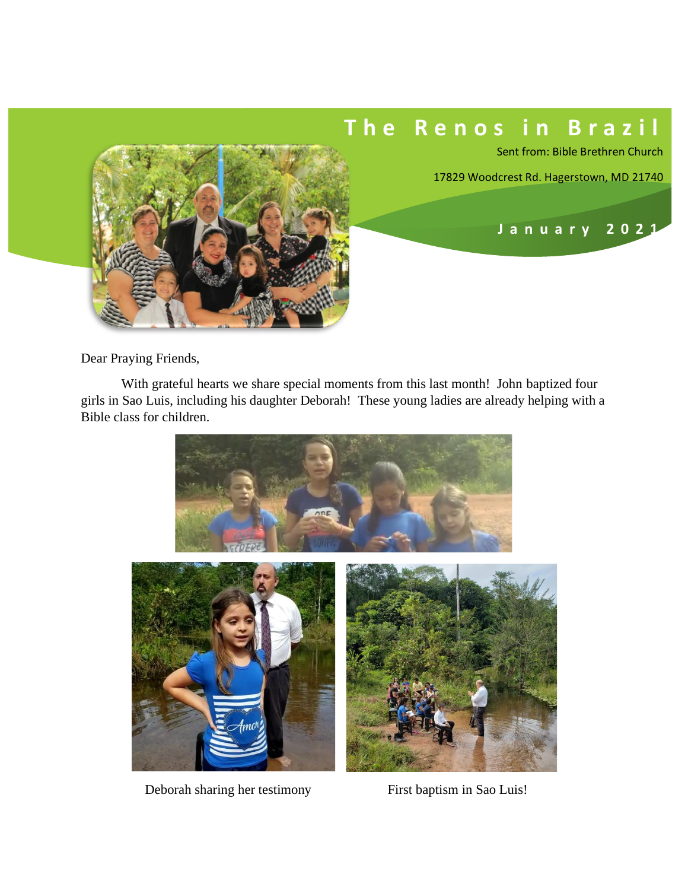## **T h e R e n o s i n B r a z i l**

Sent from: Bible Brethren Church

 **J a n u a r y 202 1**

17829 Woodcrest Rd. Hagerstown, MD 21740



With grateful hearts we share special moments from this last month! John baptized four girls in Sao Luis, including his daughter Deborah! These young ladies are already helping with a Bible class for children.



Deborah sharing her testimony First baptism in Sao Luis!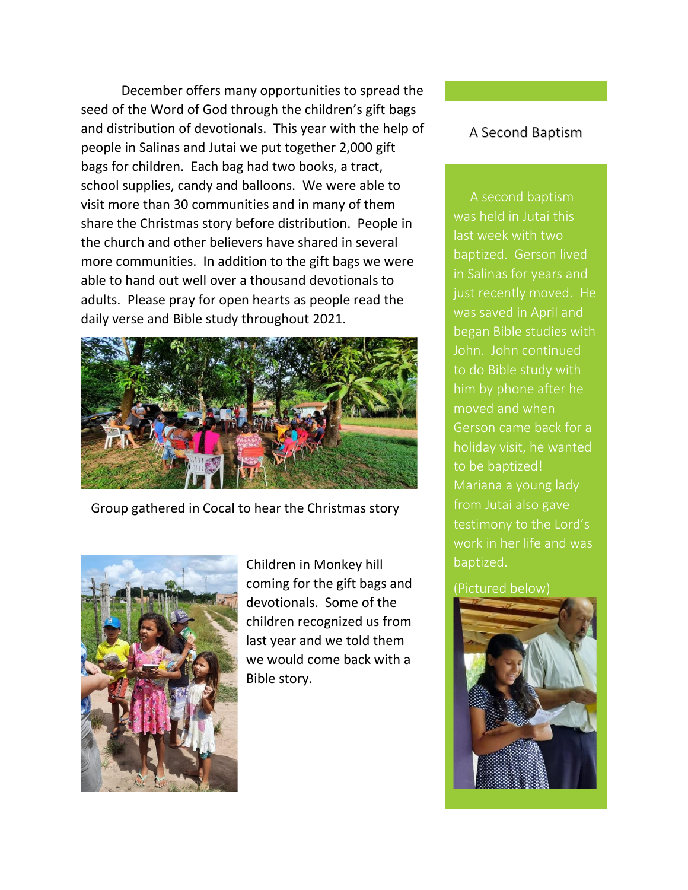December offers many opportunities to spread the seed of the Word of God through the children's gift bags and distribution of devotionals. This year with the help of people in Salinas and Jutai we put together 2,000 gift bags for children. Each bag had two books, a tract, school supplies, candy and balloons. We were able to visit more than 30 communities and in many of them share the Christmas story before distribution. People in the church and other believers have shared in several more communities. In addition to the gift bags we were able to hand out well over a thousand devotionals to adults. Please pray for open hearts as people read the daily verse and Bible study throughout 2021.



Group gathered in Cocal to hear the Christmas story



Children in Monkey hill coming for the gift bags and devotionals. Some of the children recognized us from last year and we told them we would come back with a Bible story.

## A Second Baptism

 A second baptism was held in Jutai this last week with two baptized. Gerson lived just recently moved. He was saved in April and began Bible studies with John. John continued to do Bible study with him by phone after he moved and when Gerson came back for a holiday visit, he wanted to be baptized! Mariana a young lady from Jutai also gave work in her life and was baptized.

## (Pictured below)